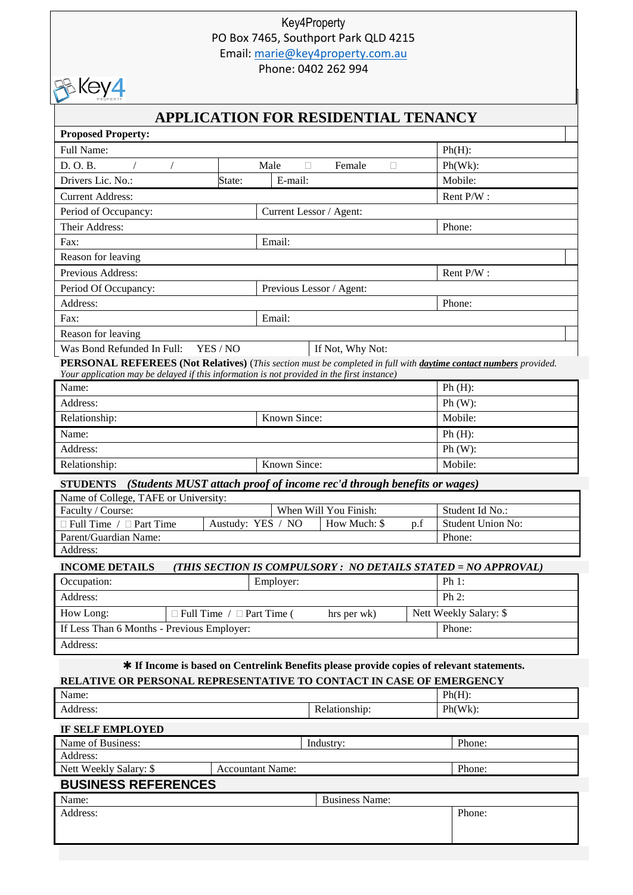## Key4Property PO Box 7465, Southport Park QLD 4215 Email: [marie@key4property.com.au](mailto:marie@key4property.com.au)

Phone: 0402 262 994



# **APPLICATION FOR RESIDENTIAL TENANCY**

| <b>Proposed Property:</b>                                                                                               |                                       |                                                                        |                                                                                           |  |  |  |
|-------------------------------------------------------------------------------------------------------------------------|---------------------------------------|------------------------------------------------------------------------|-------------------------------------------------------------------------------------------|--|--|--|
| Full Name:                                                                                                              |                                       |                                                                        |                                                                                           |  |  |  |
| D. O. B.                                                                                                                | Male<br>□<br>Female<br>□              |                                                                        | $Ph(Wk)$ :                                                                                |  |  |  |
| Drivers Lic. No.:                                                                                                       | State:<br>E-mail:                     |                                                                        | Mobile:                                                                                   |  |  |  |
| <b>Current Address:</b>                                                                                                 |                                       |                                                                        | Rent P/W:                                                                                 |  |  |  |
| Period of Occupancy:                                                                                                    |                                       | Current Lessor / Agent:                                                |                                                                                           |  |  |  |
| Their Address:                                                                                                          |                                       |                                                                        | Phone:                                                                                    |  |  |  |
| Fax:                                                                                                                    | Email:                                |                                                                        |                                                                                           |  |  |  |
| Reason for leaving                                                                                                      |                                       |                                                                        |                                                                                           |  |  |  |
| Previous Address:                                                                                                       |                                       |                                                                        | Rent P/W:                                                                                 |  |  |  |
| Period Of Occupancy:                                                                                                    |                                       | Previous Lessor / Agent:                                               |                                                                                           |  |  |  |
| Address:                                                                                                                |                                       |                                                                        | Phone:                                                                                    |  |  |  |
| Fax:                                                                                                                    | Email:                                |                                                                        |                                                                                           |  |  |  |
| Reason for leaving                                                                                                      |                                       |                                                                        |                                                                                           |  |  |  |
| Was Bond Refunded In Full:                                                                                              | YES / NO                              | If Not, Why Not:                                                       |                                                                                           |  |  |  |
| <b>PERSONAL REFEREES</b> (Not Relatives) (This section must be completed in full with daytime contact numbers provided. |                                       |                                                                        |                                                                                           |  |  |  |
| Your application may be delayed if this information is not provided in the first instance)                              |                                       |                                                                        |                                                                                           |  |  |  |
| Name:                                                                                                                   |                                       |                                                                        | $Ph(H)$ :                                                                                 |  |  |  |
| Address:                                                                                                                |                                       |                                                                        | $Ph(W)$ :                                                                                 |  |  |  |
| Relationship:                                                                                                           | Known Since:                          |                                                                        | Mobile:                                                                                   |  |  |  |
| Name:                                                                                                                   |                                       |                                                                        | $Ph(H)$ :                                                                                 |  |  |  |
| Address:                                                                                                                |                                       |                                                                        | $Ph(W)$ :                                                                                 |  |  |  |
| Relationship:                                                                                                           | Known Since:                          |                                                                        | Mobile:                                                                                   |  |  |  |
|                                                                                                                         |                                       |                                                                        |                                                                                           |  |  |  |
| <b>STUDENTS</b>                                                                                                         |                                       | (Students MUST attach proof of income rec'd through benefits or wages) |                                                                                           |  |  |  |
| Name of College, TAFE or University:                                                                                    |                                       |                                                                        |                                                                                           |  |  |  |
| Faculty / Course:                                                                                                       |                                       | When Will You Finish:                                                  | Student Id No.:                                                                           |  |  |  |
| $\Box$ Full Time / $\Box$ Part Time                                                                                     | Austudy: YES / NO                     | How Much: \$                                                           | <b>Student Union No:</b><br>p.f                                                           |  |  |  |
| Parent/Guardian Name:                                                                                                   |                                       |                                                                        | Phone:                                                                                    |  |  |  |
| Address:                                                                                                                |                                       |                                                                        |                                                                                           |  |  |  |
| <b>INCOME DETAILS</b>                                                                                                   |                                       |                                                                        | (THIS SECTION IS COMPULSORY : NO DETAILS STATED = NO APPROVAL)                            |  |  |  |
| Occupation:                                                                                                             | Employer:                             |                                                                        | Ph 1:                                                                                     |  |  |  |
| Address:                                                                                                                |                                       |                                                                        | $Ph 2$ :                                                                                  |  |  |  |
| How Long:                                                                                                               | $\Box$ Full Time / $\Box$ Part Time ( | hrs per wk)                                                            | Nett Weekly Salary: \$                                                                    |  |  |  |
| If Less Than 6 Months - Previous Employer:                                                                              |                                       |                                                                        | Phone:                                                                                    |  |  |  |
| Address:                                                                                                                |                                       |                                                                        |                                                                                           |  |  |  |
|                                                                                                                         |                                       |                                                                        | * If Income is based on Centrelink Benefits please provide copies of relevant statements. |  |  |  |
| RELATIVE OR PERSONAL REPRESENTATIVE TO CONTACT IN CASE OF EMERGENCY                                                     |                                       |                                                                        |                                                                                           |  |  |  |
| Name:                                                                                                                   |                                       |                                                                        | $Ph(H)$ :                                                                                 |  |  |  |
| Address:                                                                                                                |                                       | Relationship:                                                          | $Ph(Wk)$ :                                                                                |  |  |  |
|                                                                                                                         |                                       |                                                                        |                                                                                           |  |  |  |
| <b>IF SELF EMPLOYED</b><br>Name of Business:                                                                            |                                       |                                                                        |                                                                                           |  |  |  |
| Address:                                                                                                                |                                       | Industry:                                                              | Phone:                                                                                    |  |  |  |
| Nett Weekly Salary: \$                                                                                                  | <b>Accountant Name:</b>               |                                                                        | Phone:                                                                                    |  |  |  |
| <b>BUSINESS REFERENCES</b>                                                                                              |                                       |                                                                        |                                                                                           |  |  |  |
| Name:                                                                                                                   |                                       | <b>Business Name:</b>                                                  |                                                                                           |  |  |  |